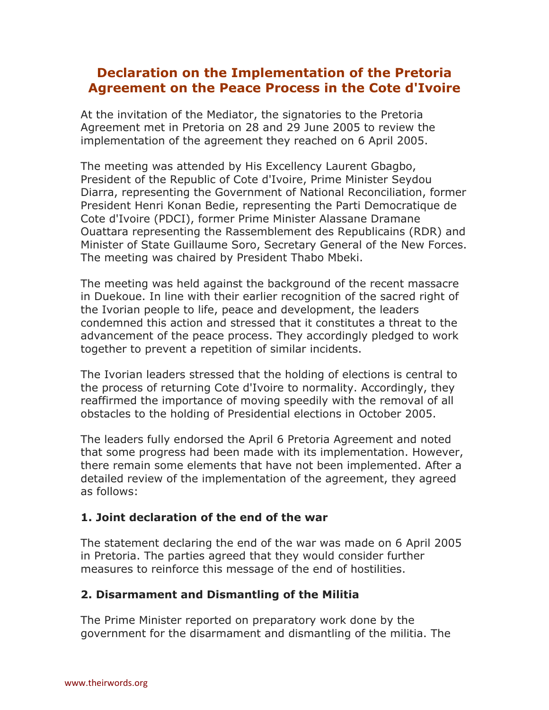# **Declaration on the Implementation of the Pretoria Agreement on the Peace Process in the Cote d'Ivoire**

At the invitation of the Mediator, the signatories to the Pretoria Agreement met in Pretoria on 28 and 29 June 2005 to review the implementation of the agreement they reached on 6 April 2005.

The meeting was attended by His Excellency Laurent Gbagbo, President of the Republic of Cote d'Ivoire, Prime Minister Seydou Diarra, representing the Government of National Reconciliation, former President Henri Konan Bedie, representing the Parti Democratique de Cote d'Ivoire (PDCI), former Prime Minister Alassane Dramane Ouattara representing the Rassemblement des Republicains (RDR) and Minister of State Guillaume Soro, Secretary General of the New Forces. The meeting was chaired by President Thabo Mbeki.

The meeting was held against the background of the recent massacre in Duekoue. In line with their earlier recognition of the sacred right of the Ivorian people to life, peace and development, the leaders condemned this action and stressed that it constitutes a threat to the advancement of the peace process. They accordingly pledged to work together to prevent a repetition of similar incidents.

The Ivorian leaders stressed that the holding of elections is central to the process of returning Cote d'Ivoire to normality. Accordingly, they reaffirmed the importance of moving speedily with the removal of all obstacles to the holding of Presidential elections in October 2005.

The leaders fully endorsed the April 6 Pretoria Agreement and noted that some progress had been made with its implementation. However, there remain some elements that have not been implemented. After a detailed review of the implementation of the agreement, they agreed as follows:

## **1. Joint declaration of the end of the war**

The statement declaring the end of the war was made on 6 April 2005 in Pretoria. The parties agreed that they would consider further measures to reinforce this message of the end of hostilities.

#### **2. Disarmament and Dismantling of the Militia**

The Prime Minister reported on preparatory work done by the government for the disarmament and dismantling of the militia. The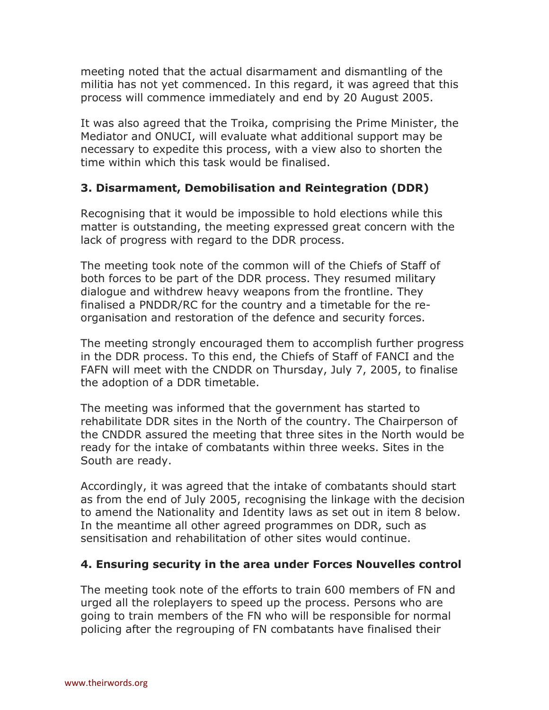meeting noted that the actual disarmament and dismantling of the militia has not yet commenced. In this regard, it was agreed that this process will commence immediately and end by 20 August 2005.

It was also agreed that the Troika, comprising the Prime Minister, the Mediator and ONUCI, will evaluate what additional support may be necessary to expedite this process, with a view also to shorten the time within which this task would be finalised.

## **3. Disarmament, Demobilisation and Reintegration (DDR)**

Recognising that it would be impossible to hold elections while this matter is outstanding, the meeting expressed great concern with the lack of progress with regard to the DDR process.

The meeting took note of the common will of the Chiefs of Staff of both forces to be part of the DDR process. They resumed military dialogue and withdrew heavy weapons from the frontline. They finalised a PNDDR/RC for the country and a timetable for the reorganisation and restoration of the defence and security forces.

The meeting strongly encouraged them to accomplish further progress in the DDR process. To this end, the Chiefs of Staff of FANCI and the FAFN will meet with the CNDDR on Thursday, July 7, 2005, to finalise the adoption of a DDR timetable.

The meeting was informed that the government has started to rehabilitate DDR sites in the North of the country. The Chairperson of the CNDDR assured the meeting that three sites in the North would be ready for the intake of combatants within three weeks. Sites in the South are ready.

Accordingly, it was agreed that the intake of combatants should start as from the end of July 2005, recognising the linkage with the decision to amend the Nationality and Identity laws as set out in item 8 below. In the meantime all other agreed programmes on DDR, such as sensitisation and rehabilitation of other sites would continue.

## **4. Ensuring security in the area under Forces Nouvelles control**

The meeting took note of the efforts to train 600 members of FN and urged all the roleplayers to speed up the process. Persons who are going to train members of the FN who will be responsible for normal policing after the regrouping of FN combatants have finalised their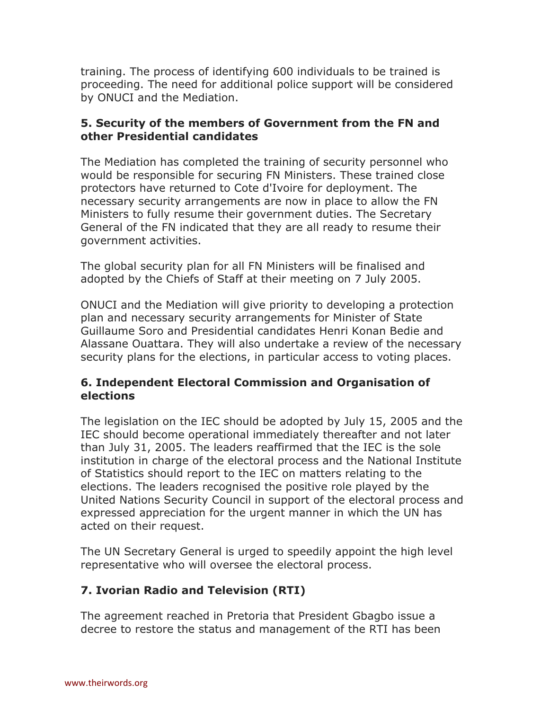training. The process of identifying 600 individuals to be trained is proceeding. The need for additional police support will be considered by ONUCI and the Mediation.

#### **5. Security of the members of Government from the FN and other Presidential candidates**

The Mediation has completed the training of security personnel who would be responsible for securing FN Ministers. These trained close protectors have returned to Cote d'Ivoire for deployment. The necessary security arrangements are now in place to allow the FN Ministers to fully resume their government duties. The Secretary General of the FN indicated that they are all ready to resume their government activities.

The global security plan for all FN Ministers will be finalised and adopted by the Chiefs of Staff at their meeting on 7 July 2005.

ONUCI and the Mediation will give priority to developing a protection plan and necessary security arrangements for Minister of State Guillaume Soro and Presidential candidates Henri Konan Bedie and Alassane Ouattara. They will also undertake a review of the necessary security plans for the elections, in particular access to voting places.

## **6. Independent Electoral Commission and Organisation of elections**

The legislation on the IEC should be adopted by July 15, 2005 and the IEC should become operational immediately thereafter and not later than July 31, 2005. The leaders reaffirmed that the IEC is the sole institution in charge of the electoral process and the National Institute of Statistics should report to the IEC on matters relating to the elections. The leaders recognised the positive role played by the United Nations Security Council in support of the electoral process and expressed appreciation for the urgent manner in which the UN has acted on their request.

The UN Secretary General is urged to speedily appoint the high level representative who will oversee the electoral process.

## **7. Ivorian Radio and Television (RTI)**

The agreement reached in Pretoria that President Gbagbo issue a decree to restore the status and management of the RTI has been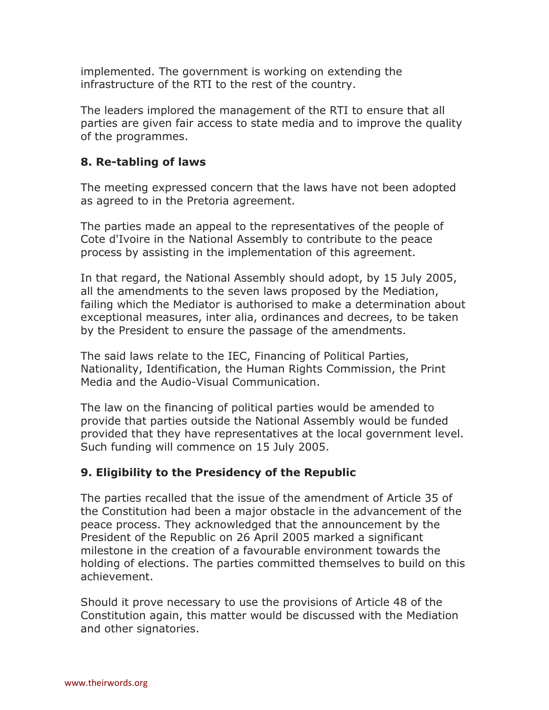implemented. The government is working on extending the infrastructure of the RTI to the rest of the country.

The leaders implored the management of the RTI to ensure that all parties are given fair access to state media and to improve the quality of the programmes.

## **8. Re-tabling of laws**

The meeting expressed concern that the laws have not been adopted as agreed to in the Pretoria agreement.

The parties made an appeal to the representatives of the people of Cote d'Ivoire in the National Assembly to contribute to the peace process by assisting in the implementation of this agreement.

In that regard, the National Assembly should adopt, by 15 July 2005, all the amendments to the seven laws proposed by the Mediation, failing which the Mediator is authorised to make a determination about exceptional measures, inter alia, ordinances and decrees, to be taken by the President to ensure the passage of the amendments.

The said laws relate to the IEC, Financing of Political Parties, Nationality, Identification, the Human Rights Commission, the Print Media and the Audio-Visual Communication.

The law on the financing of political parties would be amended to provide that parties outside the National Assembly would be funded provided that they have representatives at the local government level. Such funding will commence on 15 July 2005.

## **9. Eligibility to the Presidency of the Republic**

The parties recalled that the issue of the amendment of Article 35 of the Constitution had been a major obstacle in the advancement of the peace process. They acknowledged that the announcement by the President of the Republic on 26 April 2005 marked a significant milestone in the creation of a favourable environment towards the holding of elections. The parties committed themselves to build on this achievement.

Should it prove necessary to use the provisions of Article 48 of the Constitution again, this matter would be discussed with the Mediation and other signatories.